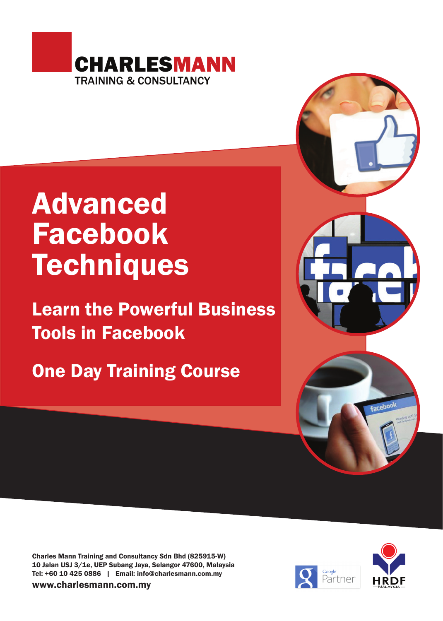

## Advanced Facebook **Techniques**

Learn the Powerful Business Tools in Facebook

One Day Training Course



Charles Mann Training and Consultancy Sdn Bhd (825915-W) 10 Jalan USJ 3/1e, UEP Subang Jaya, Selangor 47600, Malaysia Tel: +60 10 425 0886 | Email: info@charlesmann.com.my

www.charlesmann.com.my

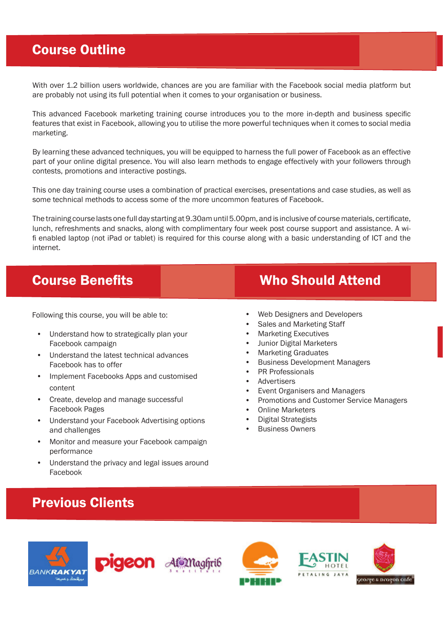## Course Outline

With over 1.2 billion users worldwide, chances are you are familiar with the Facebook social media platform but are probably not using its full potential when it comes to your organisation or business.

This advanced Facebook marketing training course introduces you to the more in-depth and business specific features that exist in Facebook, allowing you to utilise the more powerful techniques when it comes to social media marketing.

By learning these advanced techniques, you will be equipped to harness the full power of Facebook as an effective part of your online digital presence. You will also learn methods to engage effectively with your followers through contests, promotions and interactive postings.

This one day training course uses a combination of practical exercises, presentations and case studies, as well as some technical methods to access some of the more uncommon features of Facebook.

The training course lasts one full day starting at 9.30am until 5.00pm, and is inclusive of course materials, certificate, lunch, refreshments and snacks, along with complimentary four week post course support and assistance. A wifi enabled laptop (not iPad or tablet) is required for this course along with a basic understanding of ICT and the internet.

Following this course, you will be able to:

- Understand how to strategically plan your Facebook campaign
- Understand the latest technical advances Facebook has to offer
- Implement Facebooks Apps and customised content
- Create, develop and manage successful Facebook Pages
- Understand your Facebook Advertising options and challenges
- Monitor and measure your Facebook campaign performance
- Understand the privacy and legal issues around Facebook

#### Previous Clients

# **BANKRAKYA1**











## **Course Benefits Course Benefits** Who Should Attend

- Web Designers and Developers
- Sales and Marketing Staff
- Marketing Executives
- Junior Digital Marketers
- Marketing Graduates
- Business Development Managers
- PR Professionals
- **Advertisers**
- Event Organisers and Managers
- Promotions and Customer Service Managers
- **Online Marketers**
- Digital Strategists
- Business Owners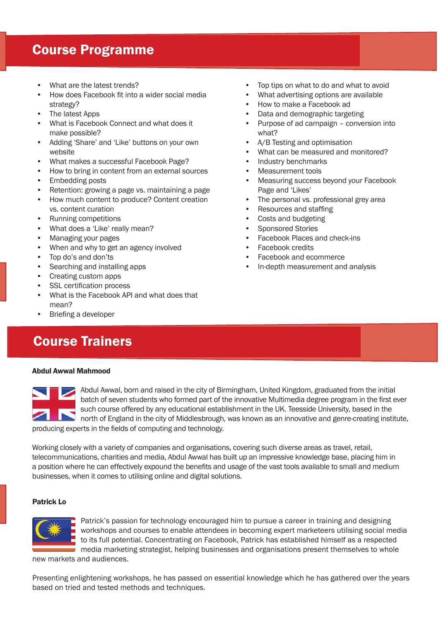#### Course Programme

- What are the latest trends?
- How does Facebook fit into a wider social media strategy?
- The latest Apps
- What is Facebook Connect and what does it make possible?
- Adding 'Share' and 'Like' buttons on your own website
- What makes a successful Facebook Page?
- How to bring in content from an external sources
- Embedding posts
- Retention: growing a page vs. maintaining a page
- How much content to produce? Content creation vs. content curation
- Running competitions
- What does a 'Like' really mean?
- Managing your pages
- When and why to get an agency involved
- Top do's and don'ts
- Searching and installing apps
- Creating custom apps
- SSL certification process
- What is the Facebook API and what does that mean?
- Briefing a developer

#### Course Trainers

#### Abdul Awwal Mahmood



Abdul Awwal, born and raised in the city of Birmingham, United Kingdom, graduated from the initial batch of seven students who formed part of the innovative Multimedia degree program in the first ever such course offered by any educational establishment in the UK. Teesside University, based in the north of England in the city of Middlesbrough, was known as an innovative and genre-creating institute, producing experts in the fields of computing and technology.

Working closely with a variety of companies and organisations, covering such diverse areas as travel, retail, telecommunications, charities and media, Abdul Awwal has built up an impressive knowledge base, placing him in a position where he can effectively expound the benefits and usage of the vast tools available to small and medium businesses, when it comes to utilising online and digital solutions.

#### Patrick Lo



Patrick's passion for technology encouraged him to pursue a career in training and designing workshops and courses to enable attendees in becoming expert marketeers utilising social media to its full potential. Concentrating on Facebook, Patrick has established himself as a respected media marketing strategist, helping businesses and organisations present themselves to whole

new markets and audiences.

Presenting enlightening workshops, he has passed on essential knowledge which he has gathered over the years based on tried and tested methods and techniques.

- Top tips on what to do and what to avoid
- What advertising options are available
- How to make a Facebook ad
- Data and demographic targeting
- Purpose of ad campaign conversion into what?
- A/B Testing and optimisation
- What can be measured and monitored?
- Industry benchmarks
- Measurement tools
- Measuring success beyond your Facebook Page and 'Likes'
- The personal vs. professional grey area
- Resources and staffing
- Costs and budgeting
- Sponsored Stories
- Facebook Places and check-ins
- Facebook credits
- Facebook and ecommerce
- In-depth measurement and analysis